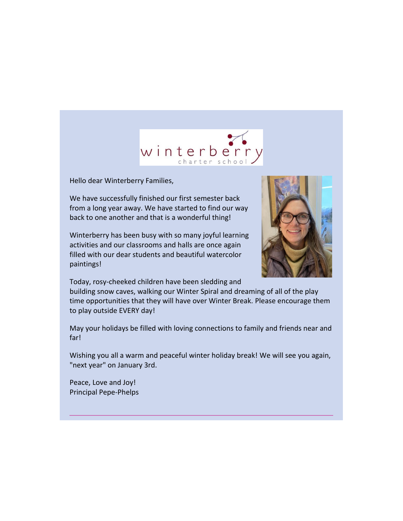

Hello dear Winterberry Families,

We have successfully finished our first semester back from a long year away. We have started to find our way back to one another and that is a wonderful thing!

Winterberry has been busy with so many joyful learning activities and our classrooms and halls are once again filled with our dear students and beautiful watercolor paintings!



Today, rosy-cheeked children have been sledding and

building snow caves, walking our Winter Spiral and dreaming of all of the play time opportunities that they will have over Winter Break. Please encourage them to play outside EVERY day!

May your holidays be filled with loving connections to family and friends near and far!

Wishing you all a warm and peaceful winter holiday break! We will see you again, "next year" on January 3rd.

Peace, Love and Joy! Principal Pepe-Phelps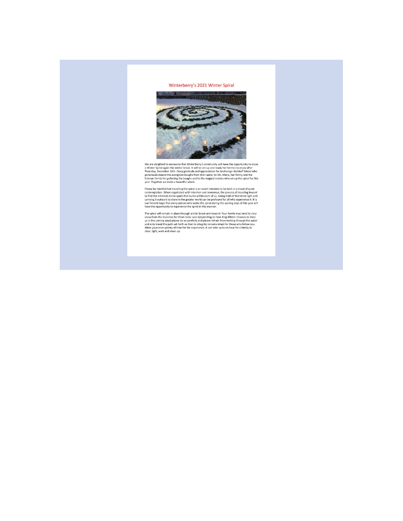## Winterberry's 2021 Winter Spiral



We are delighted to announce that Winterberry's community will have the opportunity to enjoy a Winter Spiral again this winter break. It will be set up and ready for families to enjoy after Thursday, December 16th. Deep g

Please be mindful that travelling the spiral is an event intended to be held in a mood of quiet<br>contemplation. When negotiated with intention and reverence, the process of traveling inward<br>to find the inherent divine spark

The spiral will remain in place through winter break and beyond. Your family may need to clear snow from the branches for them to be seen (depending on how King Winter chooses to bless us in the coming days) please do so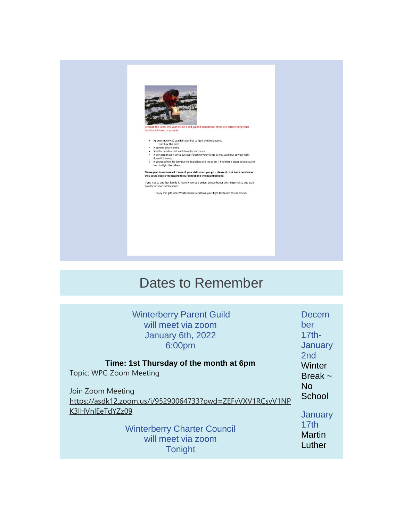

## Dates to Remember

| <b>Winterberry Parent Guild</b><br>will meet via zoom                      | Decem<br>ber                                |
|----------------------------------------------------------------------------|---------------------------------------------|
| January 6th, 2022                                                          | $17th-$                                     |
| 6:00pm                                                                     | January<br>2 <sub>nd</sub>                  |
| Time: 1st Thursday of the month at 6pm                                     | Winter                                      |
| Topic: WPG Zoom Meeting                                                    | Break $\sim$                                |
| Join Zoom Meeting                                                          | <b>No</b>                                   |
| https://asdk12.zoom.us/j/95290064733?pwd=ZEFyVXV1RCsyV1NP                  | School                                      |
| K3IHVnlEeTdYZz09                                                           | January                                     |
| <b>Winterberry Charter Council</b><br>will meet via zoom<br><b>Tonight</b> | 17 <sub>th</sub><br><b>Martin</b><br>Luther |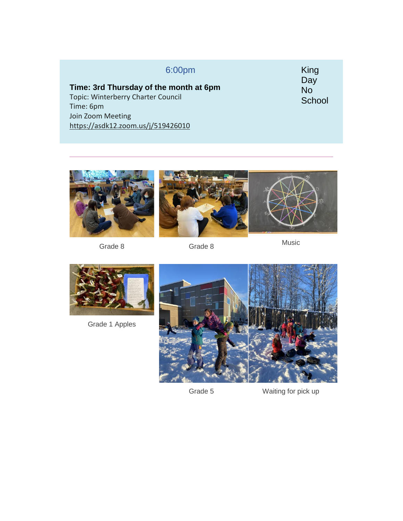| 6:00pm                                    | King             |
|-------------------------------------------|------------------|
| Time: 3rd Thursday of the month at 6pm    | Day<br><b>No</b> |
| <b>Topic: Winterberry Charter Council</b> | School           |
| Time: 6pm                                 |                  |
| Join Zoom Meeting                         |                  |
| https://asdk12.zoom.us/j/519426010        |                  |
|                                           |                  |





Grade 1 Apples



Grade 5 Waiting for pick up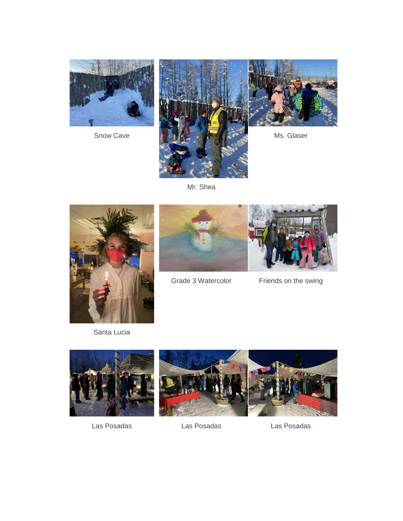

Snow Cave



Mr. Shea





Grade 3 Watercolor Friends on the swing

Santa Lucia



Las Posadas Las Posadas Las Posadas